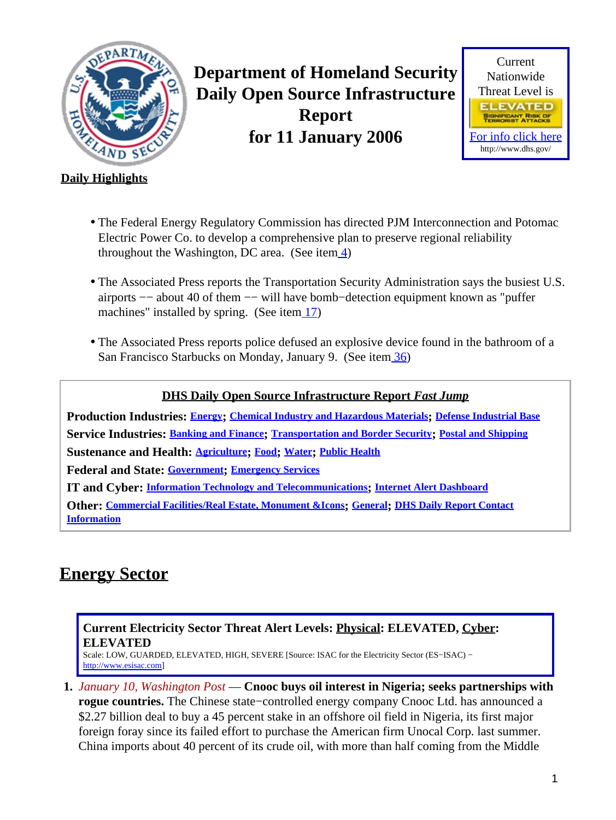<span id="page-0-1"></span>

**Department of Homeland Security Daily Open Source Infrastructure Report for 11 January 2006**



### **Daily Highlights**

- The Federal Energy Regulatory Commission has directed PJM Interconnection and Potomac Electric Power Co. to develop a comprehensive plan to preserve regional reliability throughout the Washington, DC area. (See ite[m 4\)](#page-1-0)
- The Associated Press reports the Transportation Security Administration says the busiest U.S. airports −− about 40 of them −− will have bomb−detection equipment known as "puffer machines" installed by spring. (See item  $\frac{17}{2}$ )
- The Associated Press reports police defused an explosive device found in the bathroom of a San Francisco Starbucks on Monday, January 9. (See item [36\)](#page-15-0)

### **DHS Daily Open Source Infrastructure Report** *Fast Jump* **Production Industries: [Energy](#page-0-0); [Chemical Industry and Hazardous Materials](#page-3-0); [Defense Industrial Base](#page-4-0) Service Industries: [Banking and Finance](#page-4-1); [Transportation and Border Security](#page-6-1); [Postal and Shipping](#page-7-0) Sustenance and Health: [Agriculture](#page-7-1); [Food](#page-8-0); [Water](#page-9-0); [Public Health](#page-9-1)**

**Federal and State: [Government](#page-11-0); [Emergency Services](#page-11-1)**

**IT and Cyber: [Information Technology and Telecommunications](#page-12-0); [Internet Alert Dashboard](#page-14-0)**

**Other: [Commercial Facilities/Real Estate, Monument &Icons](#page-15-1); [General](#page-15-2); [DHS Daily Report Contact](#page-16-0) [Information](#page-16-0)**

# <span id="page-0-0"></span>**Energy Sector**

### **Current Electricity Sector Threat Alert Levels: Physical: ELEVATED, Cyber: ELEVATED**

Scale: LOW, GUARDED, ELEVATED, HIGH, SEVERE [Source: ISAC for the Electricity Sector (ES−ISAC) − [http://www.esisac.com](http://esisac.com)]

**1.** *January 10, Washington Post* — **Cnooc buys oil interest in Nigeria; seeks partnerships with rogue countries.** The Chinese state−controlled energy company Cnooc Ltd. has announced a \$2.27 billion deal to buy a 45 percent stake in an offshore oil field in Nigeria, its first major foreign foray since its failed effort to purchase the American firm Unocal Corp. last summer. China imports about 40 percent of its crude oil, with more than half coming from the Middle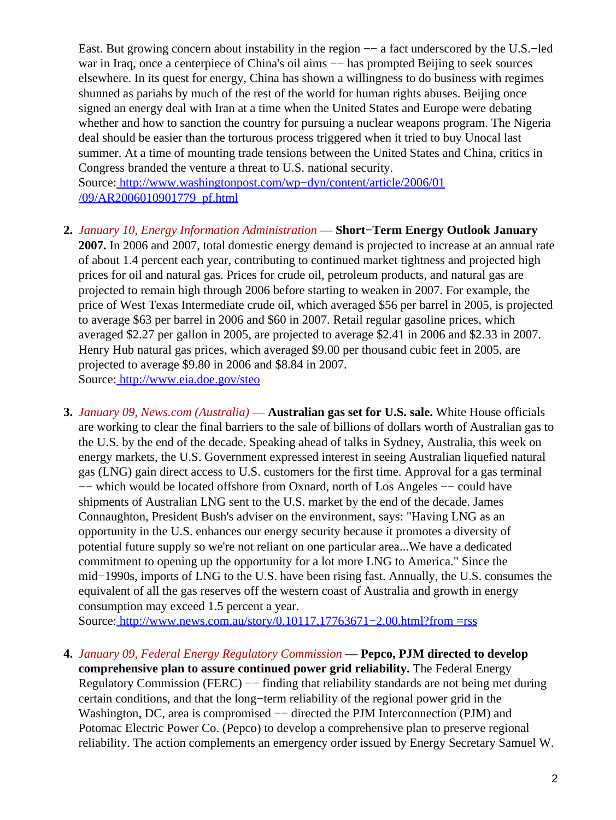East. But growing concern about instability in the region −− a fact underscored by the U.S.−led war in Iraq, once a centerpiece of China's oil aims — has prompted Beijing to seek sources elsewhere. In its quest for energy, China has shown a willingness to do business with regimes shunned as pariahs by much of the rest of the world for human rights abuses. Beijing once signed an energy deal with Iran at a time when the United States and Europe were debating whether and how to sanction the country for pursuing a nuclear weapons program. The Nigeria deal should be easier than the torturous process triggered when it tried to buy Unocal last summer. At a time of mounting trade tensions between the United States and China, critics in Congress branded the venture a threat to U.S. national security.

Source[: http://www.washingtonpost.com/wp−dyn/content/article/2006/01](http://www.washingtonpost.com/wp-dyn/content/article/2006/01/09/AR2006010901779_pf.html) [/09/AR2006010901779\\_pf.html](http://www.washingtonpost.com/wp-dyn/content/article/2006/01/09/AR2006010901779_pf.html)

- **2.** *January 10, Energy Information Administration* — **Short−Term Energy Outlook January 2007.** In 2006 and 2007, total domestic energy demand is projected to increase at an annual rate of about 1.4 percent each year, contributing to continued market tightness and projected high prices for oil and natural gas. Prices for crude oil, petroleum products, and natural gas are projected to remain high through 2006 before starting to weaken in 2007. For example, the price of West Texas Intermediate crude oil, which averaged \$56 per barrel in 2005, is projected to average \$63 per barrel in 2006 and \$60 in 2007. Retail regular gasoline prices, which averaged \$2.27 per gallon in 2005, are projected to average \$2.41 in 2006 and \$2.33 in 2007. Henry Hub natural gas prices, which averaged \$9.00 per thousand cubic feet in 2005, are projected to average \$9.80 in 2006 and \$8.84 in 2007. Source[: http://www.eia.doe.gov/steo](http://www.eia.doe.gov/steo)
- **3.** *January 09, News.com (Australia)* — **Australian gas set for U.S. sale.** White House officials are working to clear the final barriers to the sale of billions of dollars worth of Australian gas to the U.S. by the end of the decade. Speaking ahead of talks in Sydney, Australia, this week on energy markets, the U.S. Government expressed interest in seeing Australian liquefied natural gas (LNG) gain direct access to U.S. customers for the first time. Approval for a gas terminal −− which would be located offshore from Oxnard, north of Los Angeles −− could have shipments of Australian LNG sent to the U.S. market by the end of the decade. James Connaughton, President Bush's adviser on the environment, says: "Having LNG as an opportunity in the U.S. enhances our energy security because it promotes a diversity of potential future supply so we're not reliant on one particular area...We have a dedicated commitment to opening up the opportunity for a lot more LNG to America." Since the mid−1990s, imports of LNG to the U.S. have been rising fast. Annually, the U.S. consumes the equivalent of all the gas reserves off the western coast of Australia and growth in energy consumption may exceed 1.5 percent a year.

Source[: http://www.news.com.au/story/0,10117,17763671−2,00.html?from =rss](http://www.news.com.au/story/0,10117,17763671-2,00.html?from=rss)

<span id="page-1-0"></span>**4.** *January 09, Federal Energy Regulatory Commission* — **Pepco, PJM directed to develop**

**comprehensive plan to assure continued power grid reliability.** The Federal Energy Regulatory Commission (FERC) −− finding that reliability standards are not being met during certain conditions, and that the long−term reliability of the regional power grid in the Washington, DC, area is compromised −− directed the PJM Interconnection (PJM) and Potomac Electric Power Co. (Pepco) to develop a comprehensive plan to preserve regional reliability. The action complements an emergency order issued by Energy Secretary Samuel W.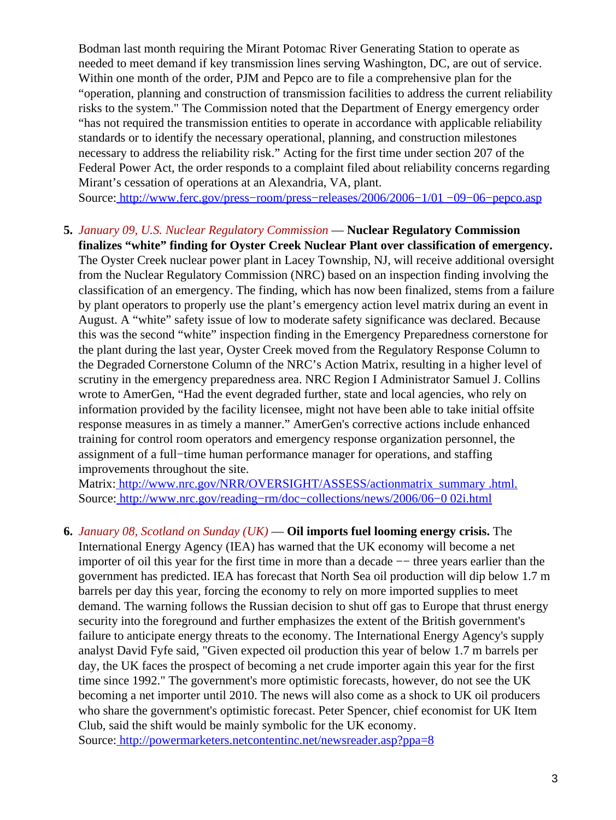Bodman last month requiring the Mirant Potomac River Generating Station to operate as needed to meet demand if key transmission lines serving Washington, DC, are out of service. Within one month of the order, PJM and Pepco are to file a comprehensive plan for the "operation, planning and construction of transmission facilities to address the current reliability risks to the system." The Commission noted that the Department of Energy emergency order "has not required the transmission entities to operate in accordance with applicable reliability standards or to identify the necessary operational, planning, and construction milestones necessary to address the reliability risk." Acting for the first time under section 207 of the Federal Power Act, the order responds to a complaint filed about reliability concerns regarding Mirant's cessation of operations at an Alexandria, VA, plant.

Source[: http://www.ferc.gov/press−room/press−releases/2006/2006−1/01 −09−06−pepco.asp](http://www.ferc.gov/press-room/press-releases/2006/2006-1/01-09-06-pepco.asp)

**5.** *January 09, U.S. Nuclear Regulatory Commission* — **Nuclear Regulatory Commission finalizes "white" finding for Oyster Creek Nuclear Plant over classification of emergency.** The Oyster Creek nuclear power plant in Lacey Township, NJ, will receive additional oversight from the Nuclear Regulatory Commission (NRC) based on an inspection finding involving the classification of an emergency. The finding, which has now been finalized, stems from a failure by plant operators to properly use the plant's emergency action level matrix during an event in August. A "white" safety issue of low to moderate safety significance was declared. Because this was the second "white" inspection finding in the Emergency Preparedness cornerstone for the plant during the last year, Oyster Creek moved from the Regulatory Response Column to the Degraded Cornerstone Column of the NRC's Action Matrix, resulting in a higher level of scrutiny in the emergency preparedness area. NRC Region I Administrator Samuel J. Collins wrote to AmerGen, "Had the event degraded further, state and local agencies, who rely on information provided by the facility licensee, might not have been able to take initial offsite response measures in as timely a manner." AmerGen's corrective actions include enhanced training for control room operators and emergency response organization personnel, the assignment of a full−time human performance manager for operations, and staffing improvements throughout the site.

Matrix: [http://www.nrc.gov/NRR/OVERSIGHT/ASSESS/actionmatrix\\_summary .html.](http://www.nrc.gov/NRR/OVERSIGHT/ASSESS/actionmatrix_summary.html.) Source[: http://www.nrc.gov/reading−rm/doc−collections/news/2006/06−0 02i.html](http://www.nrc.gov/reading-rm/doc-collections/news/2006/06-002i.html)

**6.** *January 08, Scotland on Sunday (UK)* — **Oil imports fuel looming energy crisis.** The International Energy Agency (IEA) has warned that the UK economy will become a net importer of oil this year for the first time in more than a decade −− three years earlier than the government has predicted. IEA has forecast that North Sea oil production will dip below 1.7 m barrels per day this year, forcing the economy to rely on more imported supplies to meet demand. The warning follows the Russian decision to shut off gas to Europe that thrust energy security into the foreground and further emphasizes the extent of the British government's failure to anticipate energy threats to the economy. The International Energy Agency's supply analyst David Fyfe said, "Given expected oil production this year of below 1.7 m barrels per day, the UK faces the prospect of becoming a net crude importer again this year for the first time since 1992." The government's more optimistic forecasts, however, do not see the UK becoming a net importer until 2010. The news will also come as a shock to UK oil producers who share the government's optimistic forecast. Peter Spencer, chief economist for UK Item Club, said the shift would be mainly symbolic for the UK economy.

Source[: http://powermarketers.netcontentinc.net/newsreader.asp?ppa=8](http://powermarketers.netcontentinc.net/newsreader.asp?ppa=8knpq%5F%5BfkppsqsZSmk%7D38%7Dbfel%5Dv)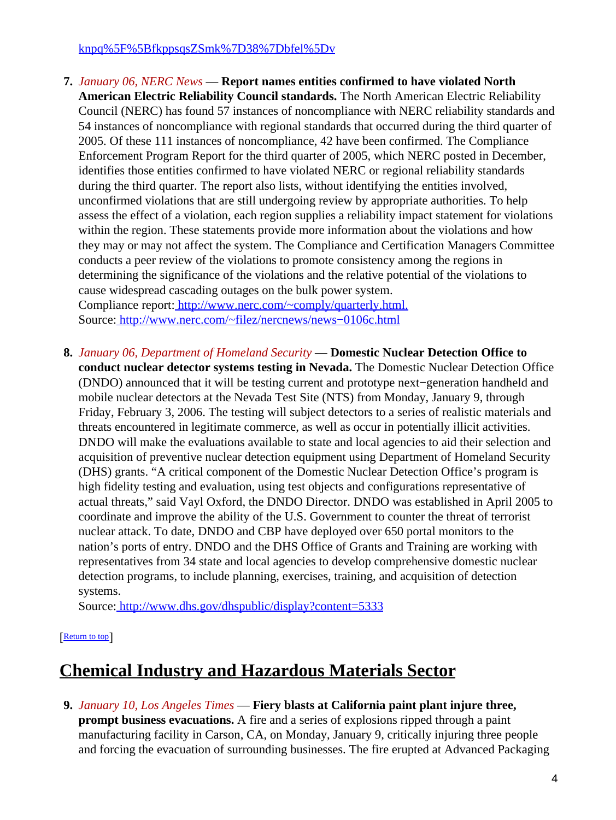#### [knpq%5F%5BfkppsqsZSmk%7D38%7Dbfel%5Dv](http://powermarketers.netcontentinc.net/newsreader.asp?ppa=8knpq%5F%5BfkppsqsZSmk%7D38%7Dbfel%5Dv)

- **7.** *January 06, NERC News* — **Report names entities confirmed to have violated North American Electric Reliability Council standards.** The North American Electric Reliability Council (NERC) has found 57 instances of noncompliance with NERC reliability standards and 54 instances of noncompliance with regional standards that occurred during the third quarter of 2005. Of these 111 instances of noncompliance, 42 have been confirmed. The Compliance Enforcement Program Report for the third quarter of 2005, which NERC posted in December, identifies those entities confirmed to have violated NERC or regional reliability standards during the third quarter. The report also lists, without identifying the entities involved, unconfirmed violations that are still undergoing review by appropriate authorities. To help assess the effect of a violation, each region supplies a reliability impact statement for violations within the region. These statements provide more information about the violations and how they may or may not affect the system. The Compliance and Certification Managers Committee conducts a peer review of the violations to promote consistency among the regions in determining the significance of the violations and the relative potential of the violations to cause widespread cascading outages on the bulk power system. Compliance report:<http://www.nerc.com/~comply/quarterly.html.> Source[: http://www.nerc.com/~filez/nercnews/news−0106c.html](http://www.nerc.com/~filez/nercnews/news-0106c.html)
- **8.** *January 06, Department of Homeland Security* — **Domestic Nuclear Detection Office to conduct nuclear detector systems testing in Nevada.** The Domestic Nuclear Detection Office (DNDO) announced that it will be testing current and prototype next−generation handheld and mobile nuclear detectors at the Nevada Test Site (NTS) from Monday, January 9, through Friday, February 3, 2006. The testing will subject detectors to a series of realistic materials and threats encountered in legitimate commerce, as well as occur in potentially illicit activities. DNDO will make the evaluations available to state and local agencies to aid their selection and acquisition of preventive nuclear detection equipment using Department of Homeland Security (DHS) grants. "A critical component of the Domestic Nuclear Detection Office's program is high fidelity testing and evaluation, using test objects and configurations representative of actual threats," said Vayl Oxford, the DNDO Director. DNDO was established in April 2005 to coordinate and improve the ability of the U.S. Government to counter the threat of terrorist nuclear attack. To date, DNDO and CBP have deployed over 650 portal monitors to the nation's ports of entry. DNDO and the DHS Office of Grants and Training are working with representatives from 34 state and local agencies to develop comprehensive domestic nuclear detection programs, to include planning, exercises, training, and acquisition of detection systems.

Source[: http://www.dhs.gov/dhspublic/display?content=5333](http://www.dhs.gov/dhspublic/display?content=5333)

#### [[Return to top](#page-0-1)]

# <span id="page-3-0"></span>**Chemical Industry and Hazardous Materials Sector**

**9.** *January 10, Los Angeles Times* — **Fiery blasts at California paint plant injure three, prompt business evacuations.** A fire and a series of explosions ripped through a paint manufacturing facility in Carson, CA, on Monday, January 9, critically injuring three people and forcing the evacuation of surrounding businesses. The fire erupted at Advanced Packaging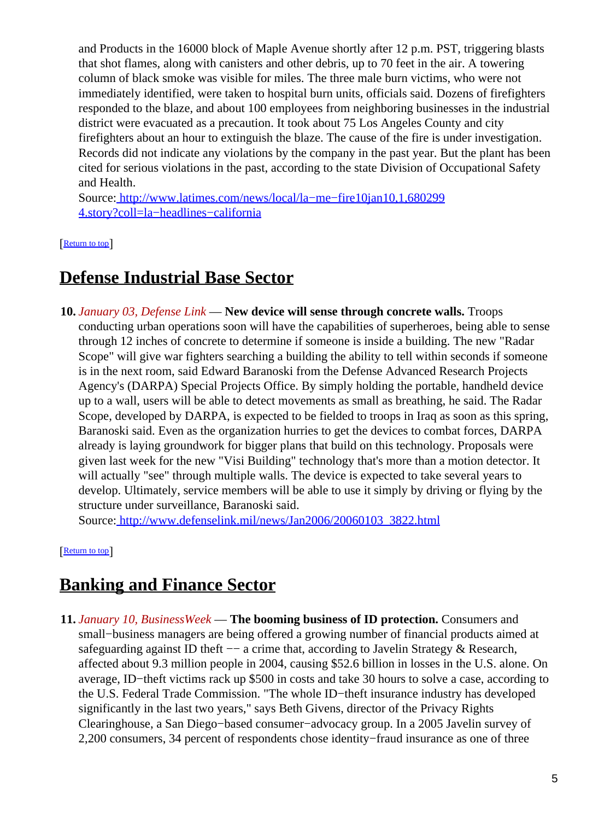and Products in the 16000 block of Maple Avenue shortly after 12 p.m. PST, triggering blasts that shot flames, along with canisters and other debris, up to 70 feet in the air. A towering column of black smoke was visible for miles. The three male burn victims, who were not immediately identified, were taken to hospital burn units, officials said. Dozens of firefighters responded to the blaze, and about 100 employees from neighboring businesses in the industrial district were evacuated as a precaution. It took about 75 Los Angeles County and city firefighters about an hour to extinguish the blaze. The cause of the fire is under investigation. Records did not indicate any violations by the company in the past year. But the plant has been cited for serious violations in the past, according to the state Division of Occupational Safety and Health.

Source[: http://www.latimes.com/news/local/la−me−fire10jan10,1,680299](http://www.latimes.com/news/local/la-me-fire10jan10,1,6802994.story?coll=la-headlines-california) [4.story?coll=la−headlines−california](http://www.latimes.com/news/local/la-me-fire10jan10,1,6802994.story?coll=la-headlines-california)

[[Return to top](#page-0-1)]

# <span id="page-4-0"></span>**Defense Industrial Base Sector**

**10.** *January 03, Defense Link* — **New device will sense through concrete walls.** Troops conducting urban operations soon will have the capabilities of superheroes, being able to sense through 12 inches of concrete to determine if someone is inside a building. The new "Radar Scope" will give war fighters searching a building the ability to tell within seconds if someone is in the next room, said Edward Baranoski from the Defense Advanced Research Projects Agency's (DARPA) Special Projects Office. By simply holding the portable, handheld device up to a wall, users will be able to detect movements as small as breathing, he said. The Radar Scope, developed by DARPA, is expected to be fielded to troops in Iraq as soon as this spring, Baranoski said. Even as the organization hurries to get the devices to combat forces, DARPA already is laying groundwork for bigger plans that build on this technology. Proposals were given last week for the new "Visi Building" technology that's more than a motion detector. It will actually "see" through multiple walls. The device is expected to take several years to develop. Ultimately, service members will be able to use it simply by driving or flying by the structure under surveillance, Baranoski said.

Source[: http://www.defenselink.mil/news/Jan2006/20060103\\_3822.html](http://www.defenselink.mil/news/Jan2006/20060103_3822.html)

[[Return to top](#page-0-1)]

# <span id="page-4-1"></span>**Banking and Finance Sector**

**11.** *January 10, BusinessWeek* — **The booming business of ID protection.** Consumers and small−business managers are being offered a growing number of financial products aimed at safeguarding against ID theft -- a crime that, according to Javelin Strategy & Research, affected about 9.3 million people in 2004, causing \$52.6 billion in losses in the U.S. alone. On average, ID−theft victims rack up \$500 in costs and take 30 hours to solve a case, according to the U.S. Federal Trade Commission. "The whole ID−theft insurance industry has developed significantly in the last two years," says Beth Givens, director of the Privacy Rights Clearinghouse, a San Diego−based consumer−advocacy group. In a 2005 Javelin survey of 2,200 consumers, 34 percent of respondents chose identity−fraud insurance as one of three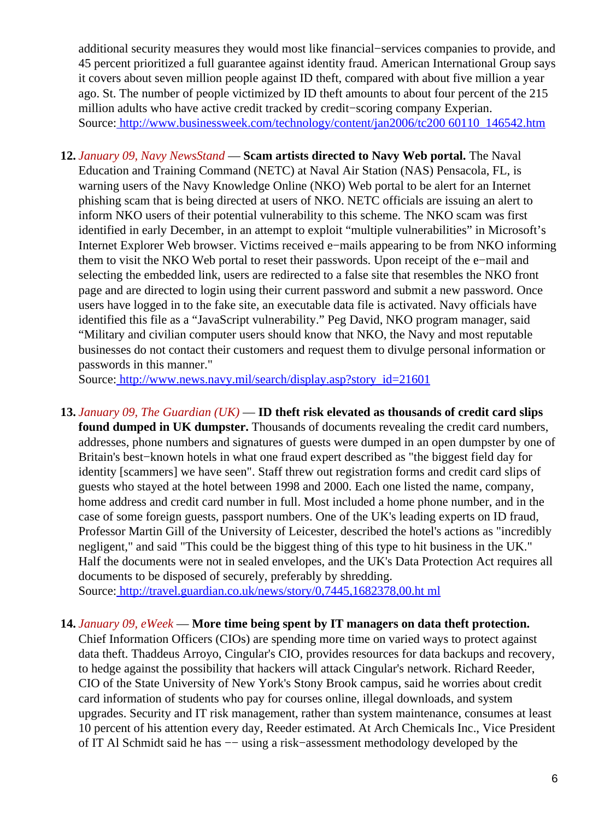additional security measures they would most like financial−services companies to provide, and 45 percent prioritized a full guarantee against identity fraud. American International Group says it covers about seven million people against ID theft, compared with about five million a year ago. St. The number of people victimized by ID theft amounts to about four percent of the 215 million adults who have active credit tracked by credit−scoring company Experian. Source[: http://www.businessweek.com/technology/content/jan2006/tc200 60110\\_146542.htm](http://www.businessweek.com/technology/content/jan2006/tc20060110_146542.htm)

**12.** *January 09, Navy NewsStand* — **Scam artists directed to Navy Web portal.** The Naval Education and Training Command (NETC) at Naval Air Station (NAS) Pensacola, FL, is warning users of the Navy Knowledge Online (NKO) Web portal to be alert for an Internet phishing scam that is being directed at users of NKO. NETC officials are issuing an alert to inform NKO users of their potential vulnerability to this scheme. The NKO scam was first identified in early December, in an attempt to exploit "multiple vulnerabilities" in Microsoft's Internet Explorer Web browser. Victims received e−mails appearing to be from NKO informing them to visit the NKO Web portal to reset their passwords. Upon receipt of the e−mail and selecting the embedded link, users are redirected to a false site that resembles the NKO front page and are directed to login using their current password and submit a new password. Once users have logged in to the fake site, an executable data file is activated. Navy officials have identified this file as a "JavaScript vulnerability." Peg David, NKO program manager, said "Military and civilian computer users should know that NKO, the Navy and most reputable businesses do not contact their customers and request them to divulge personal information or passwords in this manner."

Source[: http://www.news.navy.mil/search/display.asp?story\\_id=21601](http://www.news.navy.mil/search/display.asp?story_id=21601)

**13.** *January 09, The Guardian (UK)* — **ID theft risk elevated as thousands of credit card slips found dumped in UK dumpster.** Thousands of documents revealing the credit card numbers, addresses, phone numbers and signatures of guests were dumped in an open dumpster by one of Britain's best−known hotels in what one fraud expert described as "the biggest field day for identity [scammers] we have seen". Staff threw out registration forms and credit card slips of guests who stayed at the hotel between 1998 and 2000. Each one listed the name, company, home address and credit card number in full. Most included a home phone number, and in the case of some foreign guests, passport numbers. One of the UK's leading experts on ID fraud, Professor Martin Gill of the University of Leicester, described the hotel's actions as "incredibly negligent," and said "This could be the biggest thing of this type to hit business in the UK." Half the documents were not in sealed envelopes, and the UK's Data Protection Act requires all documents to be disposed of securely, preferably by shredding.

Source[: http://travel.guardian.co.uk/news/story/0,7445,1682378,00.ht ml](http://travel.guardian.co.uk/news/story/0,7445,1682378,00.html)

#### **14.** *January 09, eWeek* — **More time being spent by IT managers on data theft protection.**

Chief Information Officers (CIOs) are spending more time on varied ways to protect against data theft. Thaddeus Arroyo, Cingular's CIO, provides resources for data backups and recovery, to hedge against the possibility that hackers will attack Cingular's network. Richard Reeder, CIO of the State University of New York's Stony Brook campus, said he worries about credit card information of students who pay for courses online, illegal downloads, and system upgrades. Security and IT risk management, rather than system maintenance, consumes at least 10 percent of his attention every day, Reeder estimated. At Arch Chemicals Inc., Vice President of IT Al Schmidt said he has −− using a risk−assessment methodology developed by the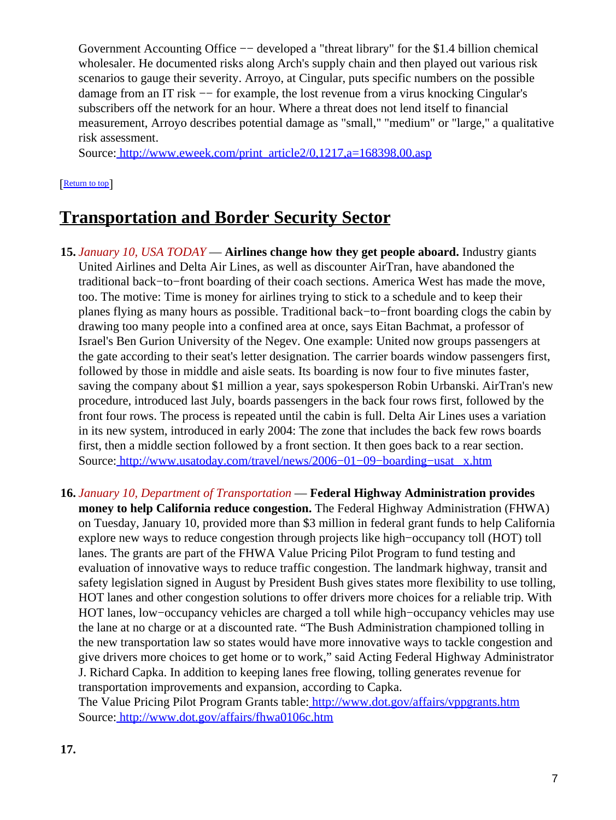Government Accounting Office -- developed a "threat library" for the \$1.4 billion chemical wholesaler. He documented risks along Arch's supply chain and then played out various risk scenarios to gauge their severity. Arroyo, at Cingular, puts specific numbers on the possible damage from an IT risk -- for example, the lost revenue from a virus knocking Cingular's subscribers off the network for an hour. Where a threat does not lend itself to financial measurement, Arroyo describes potential damage as "small," "medium" or "large," a qualitative risk assessment.

Source[: http://www.eweek.com/print\\_article2/0,1217,a=168398,00.asp](http://www.eweek.com/print_article2/0,1217,a=168398,00.asp)

[[Return to top](#page-0-1)]

## <span id="page-6-1"></span>**Transportation and Border Security Sector**

- **15.** *January 10, USA TODAY* — **Airlines change how they get people aboard.** Industry giants United Airlines and Delta Air Lines, as well as discounter AirTran, have abandoned the traditional back−to−front boarding of their coach sections. America West has made the move, too. The motive: Time is money for airlines trying to stick to a schedule and to keep their planes flying as many hours as possible. Traditional back−to−front boarding clogs the cabin by drawing too many people into a confined area at once, says Eitan Bachmat, a professor of Israel's Ben Gurion University of the Negev. One example: United now groups passengers at the gate according to their seat's letter designation. The carrier boards window passengers first, followed by those in middle and aisle seats. Its boarding is now four to five minutes faster, saving the company about \$1 million a year, says spokesperson Robin Urbanski. AirTran's new procedure, introduced last July, boards passengers in the back four rows first, followed by the front four rows. The process is repeated until the cabin is full. Delta Air Lines uses a variation in its new system, introduced in early 2004: The zone that includes the back few rows boards first, then a middle section followed by a front section. It then goes back to a rear section. Source[: http://www.usatoday.com/travel/news/2006−01−09−boarding−usat \\_x.htm](http://www.usatoday.com/travel/news/2006-01-09-boarding-usat_x.htm)
- **16.** *January 10, Department of Transportation* — **Federal Highway Administration provides money to help California reduce congestion.** The Federal Highway Administration (FHWA) on Tuesday, January 10, provided more than \$3 million in federal grant funds to help California explore new ways to reduce congestion through projects like high−occupancy toll (HOT) toll lanes. The grants are part of the FHWA Value Pricing Pilot Program to fund testing and evaluation of innovative ways to reduce traffic congestion. The landmark highway, transit and safety legislation signed in August by President Bush gives states more flexibility to use tolling, HOT lanes and other congestion solutions to offer drivers more choices for a reliable trip. With HOT lanes, low−occupancy vehicles are charged a toll while high−occupancy vehicles may use the lane at no charge or at a discounted rate. "The Bush Administration championed tolling in the new transportation law so states would have more innovative ways to tackle congestion and give drivers more choices to get home or to work," said Acting Federal Highway Administrator J. Richard Capka. In addition to keeping lanes free flowing, tolling generates revenue for transportation improvements and expansion, according to Capka.

<span id="page-6-0"></span>The Value Pricing Pilot Program Grants table[: http://www.dot.gov/affairs/vppgrants.htm](http://www.dot.gov/affairs/vppgrants.htm) Source[: http://www.dot.gov/affairs/fhwa0106c.htm](http://www.dot.gov/affairs/fhwa0106c.htm)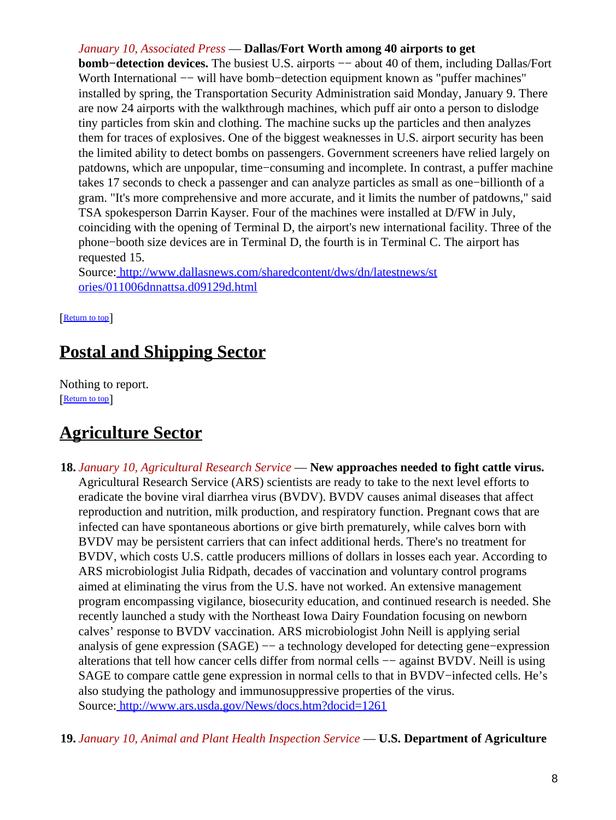#### *January 10, Associated Press* — **Dallas/Fort Worth among 40 airports to get**

**bomb–detection devices.** The busiest U.S. airports — about 40 of them, including Dallas/Fort Worth International —− will have bomb–detection equipment known as "puffer machines" installed by spring, the Transportation Security Administration said Monday, January 9. There are now 24 airports with the walkthrough machines, which puff air onto a person to dislodge tiny particles from skin and clothing. The machine sucks up the particles and then analyzes them for traces of explosives. One of the biggest weaknesses in U.S. airport security has been the limited ability to detect bombs on passengers. Government screeners have relied largely on patdowns, which are unpopular, time−consuming and incomplete. In contrast, a puffer machine takes 17 seconds to check a passenger and can analyze particles as small as one−billionth of a gram. "It's more comprehensive and more accurate, and it limits the number of patdowns," said TSA spokesperson Darrin Kayser. Four of the machines were installed at D/FW in July, coinciding with the opening of Terminal D, the airport's new international facility. Three of the phone−booth size devices are in Terminal D, the fourth is in Terminal C. The airport has requested 15.

Source[: http://www.dallasnews.com/sharedcontent/dws/dn/latestnews/st](http://www.dallasnews.com/sharedcontent/dws/dn/latestnews/stories/011006dnnattsa.d09129d.html) [ories/011006dnnattsa.d09129d.html](http://www.dallasnews.com/sharedcontent/dws/dn/latestnews/stories/011006dnnattsa.d09129d.html)

[[Return to top](#page-0-1)]

## <span id="page-7-0"></span>**Postal and Shipping Sector**

Nothing to report. [[Return to top](#page-0-1)]

## <span id="page-7-1"></span>**Agriculture Sector**

- **18.** *January 10, Agricultural Research Service* — **New approaches needed to fight cattle virus.** Agricultural Research Service (ARS) scientists are ready to take to the next level efforts to eradicate the bovine viral diarrhea virus (BVDV). BVDV causes animal diseases that affect reproduction and nutrition, milk production, and respiratory function. Pregnant cows that are infected can have spontaneous abortions or give birth prematurely, while calves born with BVDV may be persistent carriers that can infect additional herds. There's no treatment for BVDV, which costs U.S. cattle producers millions of dollars in losses each year. According to ARS microbiologist Julia Ridpath, decades of vaccination and voluntary control programs aimed at eliminating the virus from the U.S. have not worked. An extensive management program encompassing vigilance, biosecurity education, and continued research is needed. She recently launched a study with the Northeast Iowa Dairy Foundation focusing on newborn calves' response to BVDV vaccination. ARS microbiologist John Neill is applying serial analysis of gene expression (SAGE) −− a technology developed for detecting gene−expression alterations that tell how cancer cells differ from normal cells −− against BVDV. Neill is using SAGE to compare cattle gene expression in normal cells to that in BVDV−infected cells. He's also studying the pathology and immunosuppressive properties of the virus. Source[: http://www.ars.usda.gov/News/docs.htm?docid=1261](http://www.ars.usda.gov/News/docs.htm?docid=1261)
- **19.** *January 10, Animal and Plant Health Inspection Service* — **U.S. Department of Agriculture**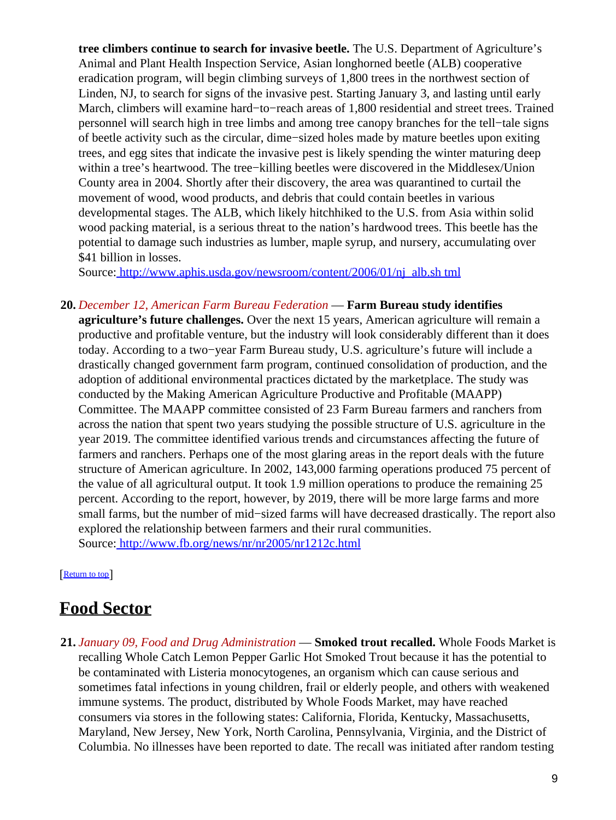**tree climbers continue to search for invasive beetle.** The U.S. Department of Agriculture's Animal and Plant Health Inspection Service, Asian longhorned beetle (ALB) cooperative eradication program, will begin climbing surveys of 1,800 trees in the northwest section of Linden, NJ, to search for signs of the invasive pest. Starting January 3, and lasting until early March, climbers will examine hard−to−reach areas of 1,800 residential and street trees. Trained personnel will search high in tree limbs and among tree canopy branches for the tell−tale signs of beetle activity such as the circular, dime−sized holes made by mature beetles upon exiting trees, and egg sites that indicate the invasive pest is likely spending the winter maturing deep within a tree's heartwood. The tree−killing beetles were discovered in the Middlesex/Union County area in 2004. Shortly after their discovery, the area was quarantined to curtail the movement of wood, wood products, and debris that could contain beetles in various developmental stages. The ALB, which likely hitchhiked to the U.S. from Asia within solid wood packing material, is a serious threat to the nation's hardwood trees. This beetle has the potential to damage such industries as lumber, maple syrup, and nursery, accumulating over \$41 billion in losses.

Source[: http://www.aphis.usda.gov/newsroom/content/2006/01/nj\\_alb.sh tml](http://www.aphis.usda.gov/newsroom/content/2006/01/nj_alb.shtml)

**20.** *December 12, American Farm Bureau Federation* — **Farm Bureau study identifies**

**agriculture's future challenges.** Over the next 15 years, American agriculture will remain a productive and profitable venture, but the industry will look considerably different than it does today. According to a two−year Farm Bureau study, U.S. agriculture's future will include a drastically changed government farm program, continued consolidation of production, and the adoption of additional environmental practices dictated by the marketplace. The study was conducted by the Making American Agriculture Productive and Profitable (MAAPP) Committee. The MAAPP committee consisted of 23 Farm Bureau farmers and ranchers from across the nation that spent two years studying the possible structure of U.S. agriculture in the year 2019. The committee identified various trends and circumstances affecting the future of farmers and ranchers. Perhaps one of the most glaring areas in the report deals with the future structure of American agriculture. In 2002, 143,000 farming operations produced 75 percent of the value of all agricultural output. It took 1.9 million operations to produce the remaining 25 percent. According to the report, however, by 2019, there will be more large farms and more small farms, but the number of mid−sized farms will have decreased drastically. The report also explored the relationship between farmers and their rural communities. Source[: http://www.fb.org/news/nr/nr2005/nr1212c.html](http://www.fb.org/news/nr/nr2005/nr1212c.html)

[[Return to top](#page-0-1)]

## <span id="page-8-0"></span>**Food Sector**

**21.** *January 09, Food and Drug Administration* — **Smoked trout recalled.** Whole Foods Market is recalling Whole Catch Lemon Pepper Garlic Hot Smoked Trout because it has the potential to be contaminated with Listeria monocytogenes, an organism which can cause serious and sometimes fatal infections in young children, frail or elderly people, and others with weakened immune systems. The product, distributed by Whole Foods Market, may have reached consumers via stores in the following states: California, Florida, Kentucky, Massachusetts, Maryland, New Jersey, New York, North Carolina, Pennsylvania, Virginia, and the District of Columbia. No illnesses have been reported to date. The recall was initiated after random testing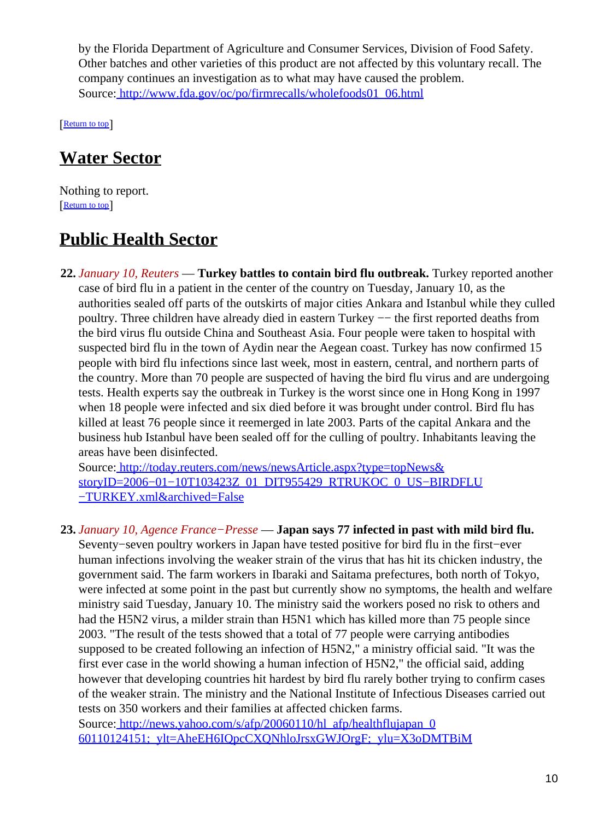by the Florida Department of Agriculture and Consumer Services, Division of Food Safety. Other batches and other varieties of this product are not affected by this voluntary recall. The company continues an investigation as to what may have caused the problem. Source[: http://www.fda.gov/oc/po/firmrecalls/wholefoods01\\_06.html](http://www.fda.gov/oc/po/firmrecalls/wholefoods01_06.html)

[[Return to top](#page-0-1)]

# <span id="page-9-0"></span>**Water Sector**

Nothing to report. **[Return to top](#page-0-1)** 

# <span id="page-9-1"></span>**Public Health Sector**

**22.** *January 10, Reuters* — **Turkey battles to contain bird flu outbreak.** Turkey reported another case of bird flu in a patient in the center of the country on Tuesday, January 10, as the authorities sealed off parts of the outskirts of major cities Ankara and Istanbul while they culled poultry. Three children have already died in eastern Turkey −− the first reported deaths from the bird virus flu outside China and Southeast Asia. Four people were taken to hospital with suspected bird flu in the town of Aydin near the Aegean coast. Turkey has now confirmed 15 people with bird flu infections since last week, most in eastern, central, and northern parts of the country. More than 70 people are suspected of having the bird flu virus and are undergoing tests. Health experts say the outbreak in Turkey is the worst since one in Hong Kong in 1997 when 18 people were infected and six died before it was brought under control. Bird flu has killed at least 76 people since it reemerged in late 2003. Parts of the capital Ankara and the business hub Istanbul have been sealed off for the culling of poultry. Inhabitants leaving the areas have been disinfected.

Source[: http://today.reuters.com/news/newsArticle.aspx?type=topNews&](http://today.reuters.com/news/newsArticle.aspx?type=topNews&storyID=2006-01-10T103423Z_01_DIT955429_RTRUKOC_0_US-BIRDFLU-TURKEY.xml&archived=False) [storyID=2006−01−10T103423Z\\_01\\_DIT955429\\_RTRUKOC\\_0\\_US−BIRDFLU](http://today.reuters.com/news/newsArticle.aspx?type=topNews&storyID=2006-01-10T103423Z_01_DIT955429_RTRUKOC_0_US-BIRDFLU-TURKEY.xml&archived=False) [−TURKEY.xml&archived=False](http://today.reuters.com/news/newsArticle.aspx?type=topNews&storyID=2006-01-10T103423Z_01_DIT955429_RTRUKOC_0_US-BIRDFLU-TURKEY.xml&archived=False)

**23.** *January 10, Agence France−Presse* — **Japan says 77 infected in past with mild bird flu.** Seventy−seven poultry workers in Japan have tested positive for bird flu in the first−ever human infections involving the weaker strain of the virus that has hit its chicken industry, the government said. The farm workers in Ibaraki and Saitama prefectures, both north of Tokyo, were infected at some point in the past but currently show no symptoms, the health and welfare ministry said Tuesday, January 10. The ministry said the workers posed no risk to others and had the H5N2 virus, a milder strain than H5N1 which has killed more than 75 people since 2003. "The result of the tests showed that a total of 77 people were carrying antibodies supposed to be created following an infection of H5N2," a ministry official said. "It was the first ever case in the world showing a human infection of H5N2," the official said, adding however that developing countries hit hardest by bird flu rarely bother trying to confirm cases of the weaker strain. The ministry and the National Institute of Infectious Diseases carried out tests on 350 workers and their families at affected chicken farms. Source[: http://news.yahoo.com/s/afp/20060110/hl\\_afp/healthflujapan\\_0](http://news.yahoo.com/s/afp/20060110/hl_afp/healthflujapan_060110124151;_ylt=AheEH6IQpcCXQNhloJrsxGWJOrgF;_ylu=X3oDMTBiMW04NW9mBHNlYwMlJVRPUCUl)

[60110124151;\\_ylt=AheEH6IQpcCXQNhloJrsxGWJOrgF;\\_ylu=X3oDMTBiM](http://news.yahoo.com/s/afp/20060110/hl_afp/healthflujapan_060110124151;_ylt=AheEH6IQpcCXQNhloJrsxGWJOrgF;_ylu=X3oDMTBiMW04NW9mBHNlYwMlJVRPUCUl)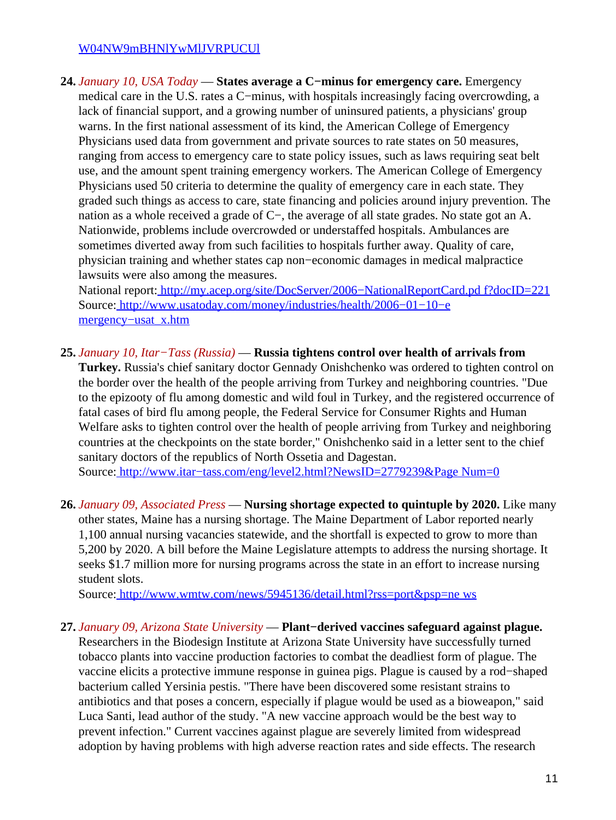#### [W04NW9mBHNlYwMlJVRPUCUl](http://news.yahoo.com/s/afp/20060110/hl_afp/healthflujapan_060110124151;_ylt=AheEH6IQpcCXQNhloJrsxGWJOrgF;_ylu=X3oDMTBiMW04NW9mBHNlYwMlJVRPUCUl)

**24.** *January 10, USA Today* — **States average a C−minus for emergency care.** Emergency medical care in the U.S. rates a C−minus, with hospitals increasingly facing overcrowding, a lack of financial support, and a growing number of uninsured patients, a physicians' group warns. In the first national assessment of its kind, the American College of Emergency Physicians used data from government and private sources to rate states on 50 measures, ranging from access to emergency care to state policy issues, such as laws requiring seat belt use, and the amount spent training emergency workers. The American College of Emergency Physicians used 50 criteria to determine the quality of emergency care in each state. They graded such things as access to care, state financing and policies around injury prevention. The nation as a whole received a grade of C−, the average of all state grades. No state got an A. Nationwide, problems include overcrowded or understaffed hospitals. Ambulances are sometimes diverted away from such facilities to hospitals further away. Quality of care, physician training and whether states cap non−economic damages in medical malpractice lawsuits were also among the measures.

National report[: http://my.acep.org/site/DocServer/2006−NationalReportCard.pd f?docID=221](http://my.acep.org/site/DocServer/2006-NationalReportCard.pdf?docID=221) Source[: http://www.usatoday.com/money/industries/health/2006−01−10−e](http://www.usatoday.com/money/industries/health/2006-01-10-emergency-usat_x.htm) [mergency−usat\\_x.htm](http://www.usatoday.com/money/industries/health/2006-01-10-emergency-usat_x.htm)

**25.** *January 10, Itar−Tass (Russia)* — **Russia tightens control over health of arrivals from**

**Turkey.** Russia's chief sanitary doctor Gennady Onishchenko was ordered to tighten control on the border over the health of the people arriving from Turkey and neighboring countries. "Due to the epizooty of flu among domestic and wild foul in Turkey, and the registered occurrence of fatal cases of bird flu among people, the Federal Service for Consumer Rights and Human Welfare asks to tighten control over the health of people arriving from Turkey and neighboring countries at the checkpoints on the state border," Onishchenko said in a letter sent to the chief sanitary doctors of the republics of North Ossetia and Dagestan.

Source[: http://www.itar−tass.com/eng/level2.html?NewsID=2779239&Page Num=0](http://www.itar-tass.com/eng/level2.html?NewsID=2779239&PageNum=0)

**26.** *January 09, Associated Press* — **Nursing shortage expected to quintuple by 2020.** Like many other states, Maine has a nursing shortage. The Maine Department of Labor reported nearly 1,100 annual nursing vacancies statewide, and the shortfall is expected to grow to more than 5,200 by 2020. A bill before the Maine Legislature attempts to address the nursing shortage. It seeks \$1.7 million more for nursing programs across the state in an effort to increase nursing student slots.

Source[: http://www.wmtw.com/news/5945136/detail.html?rss=port&psp=ne ws](http://www.wmtw.com/news/5945136/detail.html?rss=port&psp=news)

**27.** *January 09, Arizona State University* — **Plant−derived vaccines safeguard against plague.** Researchers in the Biodesign Institute at Arizona State University have successfully turned tobacco plants into vaccine production factories to combat the deadliest form of plague. The vaccine elicits a protective immune response in guinea pigs. Plague is caused by a rod−shaped bacterium called Yersinia pestis. "There have been discovered some resistant strains to antibiotics and that poses a concern, especially if plague would be used as a bioweapon," said Luca Santi, lead author of the study. "A new vaccine approach would be the best way to prevent infection." Current vaccines against plague are severely limited from widespread adoption by having problems with high adverse reaction rates and side effects. The research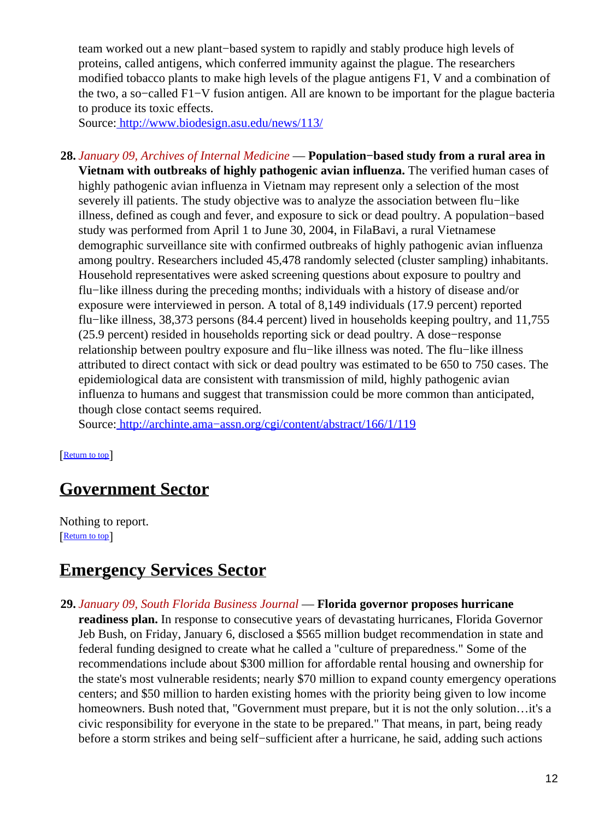team worked out a new plant−based system to rapidly and stably produce high levels of proteins, called antigens, which conferred immunity against the plague. The researchers modified tobacco plants to make high levels of the plague antigens F1, V and a combination of the two, a so−called F1−V fusion antigen. All are known to be important for the plague bacteria to produce its toxic effects.

Source[: http://www.biodesign.asu.edu/news/113/](http://www.biodesign.asu.edu/news/113/)

**28.** *January 09, Archives of Internal Medicine* — **Population−based study from a rural area in Vietnam with outbreaks of highly pathogenic avian influenza.** The verified human cases of highly pathogenic avian influenza in Vietnam may represent only a selection of the most severely ill patients. The study objective was to analyze the association between flu–like illness, defined as cough and fever, and exposure to sick or dead poultry. A population−based study was performed from April 1 to June 30, 2004, in FilaBavi, a rural Vietnamese demographic surveillance site with confirmed outbreaks of highly pathogenic avian influenza among poultry. Researchers included 45,478 randomly selected (cluster sampling) inhabitants. Household representatives were asked screening questions about exposure to poultry and flu−like illness during the preceding months; individuals with a history of disease and/or exposure were interviewed in person. A total of 8,149 individuals (17.9 percent) reported flu−like illness, 38,373 persons (84.4 percent) lived in households keeping poultry, and 11,755 (25.9 percent) resided in households reporting sick or dead poultry. A dose−response relationship between poultry exposure and flu−like illness was noted. The flu−like illness attributed to direct contact with sick or dead poultry was estimated to be 650 to 750 cases. The epidemiological data are consistent with transmission of mild, highly pathogenic avian influenza to humans and suggest that transmission could be more common than anticipated, though close contact seems required.

Source[: http://archinte.ama−assn.org/cgi/content/abstract/166/1/119](http://archinte.ama-assn.org/cgi/content/abstract/166/1/119)

[[Return to top](#page-0-1)]

# <span id="page-11-0"></span>**Government Sector**

Nothing to report. [[Return to top](#page-0-1)]

## <span id="page-11-1"></span>**Emergency Services Sector**

- **29.** *January 09, South Florida Business Journal* — **Florida governor proposes hurricane**
	- **readiness plan.** In response to consecutive years of devastating hurricanes, Florida Governor Jeb Bush, on Friday, January 6, disclosed a \$565 million budget recommendation in state and federal funding designed to create what he called a "culture of preparedness." Some of the recommendations include about \$300 million for affordable rental housing and ownership for the state's most vulnerable residents; nearly \$70 million to expand county emergency operations centers; and \$50 million to harden existing homes with the priority being given to low income homeowners. Bush noted that, "Government must prepare, but it is not the only solution...it's a civic responsibility for everyone in the state to be prepared." That means, in part, being ready before a storm strikes and being self−sufficient after a hurricane, he said, adding such actions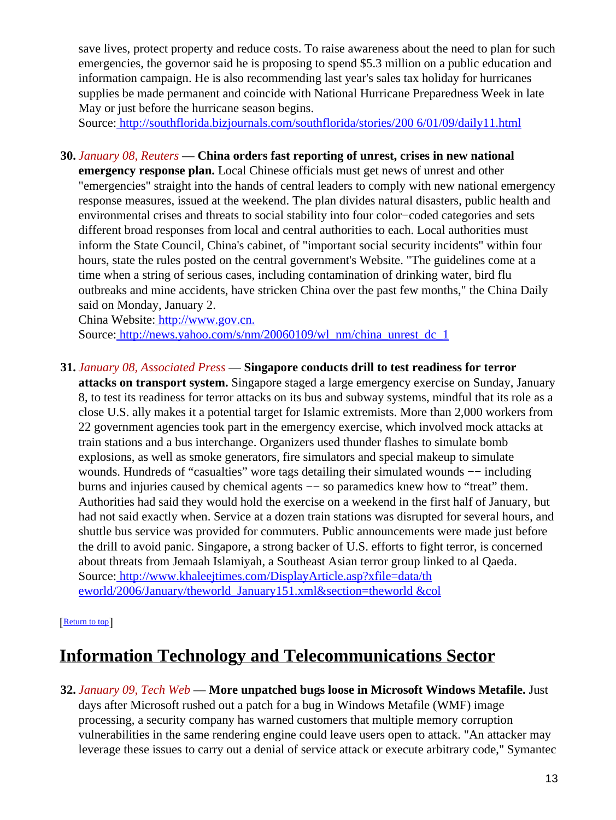save lives, protect property and reduce costs. To raise awareness about the need to plan for such emergencies, the governor said he is proposing to spend \$5.3 million on a public education and information campaign. He is also recommending last year's sales tax holiday for hurricanes supplies be made permanent and coincide with National Hurricane Preparedness Week in late May or just before the hurricane season begins.

Source[: http://southflorida.bizjournals.com/southflorida/stories/200 6/01/09/daily11.html](http://southflorida.bizjournals.com/southflorida/stories/2006/01/09/daily11.html)

#### **30.** *January 08, Reuters* — **China orders fast reporting of unrest, crises in new national**

**emergency response plan.** Local Chinese officials must get news of unrest and other "emergencies" straight into the hands of central leaders to comply with new national emergency response measures, issued at the weekend. The plan divides natural disasters, public health and environmental crises and threats to social stability into four color−coded categories and sets different broad responses from local and central authorities to each. Local authorities must inform the State Council, China's cabinet, of "important social security incidents" within four hours, state the rules posted on the central government's Website. "The guidelines come at a time when a string of serious cases, including contamination of drinking water, bird flu outbreaks and mine accidents, have stricken China over the past few months," the China Daily said on Monday, January 2.

China Website[: http://www.gov.cn.](http://www.gov.cn.)

Source[: http://news.yahoo.com/s/nm/20060109/wl\\_nm/china\\_unrest\\_dc\\_1](http://news.yahoo.com/s/nm/20060109/wl_nm/china_unrest_dc_1)

#### **31.** *January 08, Associated Press* — **Singapore conducts drill to test readiness for terror**

**attacks on transport system.** Singapore staged a large emergency exercise on Sunday, January 8, to test its readiness for terror attacks on its bus and subway systems, mindful that its role as a close U.S. ally makes it a potential target for Islamic extremists. More than 2,000 workers from 22 government agencies took part in the emergency exercise, which involved mock attacks at train stations and a bus interchange. Organizers used thunder flashes to simulate bomb explosions, as well as smoke generators, fire simulators and special makeup to simulate wounds. Hundreds of "casualties" wore tags detailing their simulated wounds — including burns and injuries caused by chemical agents −− so paramedics knew how to "treat" them. Authorities had said they would hold the exercise on a weekend in the first half of January, but had not said exactly when. Service at a dozen train stations was disrupted for several hours, and shuttle bus service was provided for commuters. Public announcements were made just before the drill to avoid panic. Singapore, a strong backer of U.S. efforts to fight terror, is concerned about threats from Jemaah Islamiyah, a Southeast Asian terror group linked to al Qaeda. Source[: http://www.khaleejtimes.com/DisplayArticle.asp?xfile=data/th](http://www.khaleejtimes.com/DisplayArticle.asp?xfile=data/theworld/2006/January/theworld_January151.xml§ion=theworld&col) [eworld/2006/January/theworld\\_January151.xml&section=theworld &col](http://www.khaleejtimes.com/DisplayArticle.asp?xfile=data/theworld/2006/January/theworld_January151.xml§ion=theworld&col)

#### [[Return to top](#page-0-1)]

## <span id="page-12-0"></span>**Information Technology and Telecommunications Sector**

**32.** *January 09, Tech Web* — **More unpatched bugs loose in Microsoft Windows Metafile.** Just days after Microsoft rushed out a patch for a bug in Windows Metafile (WMF) image processing, a security company has warned customers that multiple memory corruption vulnerabilities in the same rendering engine could leave users open to attack. "An attacker may leverage these issues to carry out a denial of service attack or execute arbitrary code," Symantec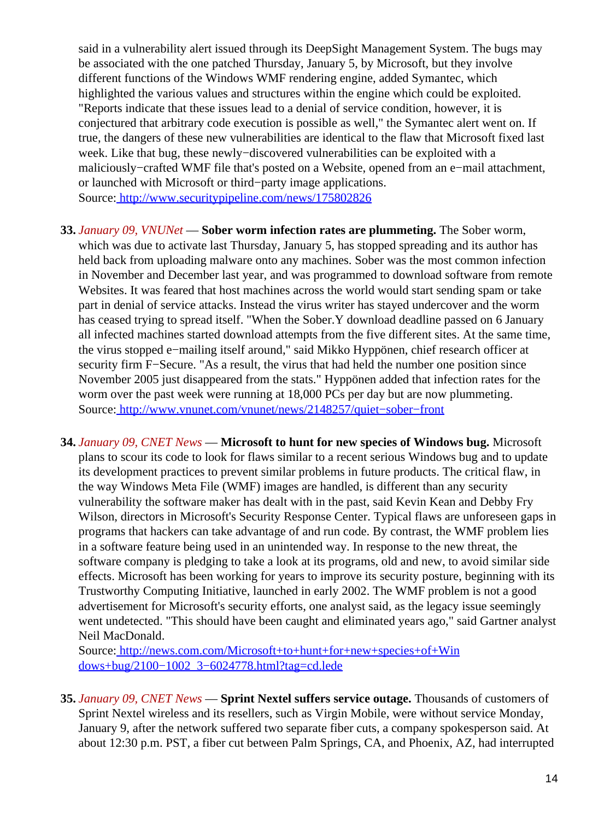said in a vulnerability alert issued through its DeepSight Management System. The bugs may be associated with the one patched Thursday, January 5, by Microsoft, but they involve different functions of the Windows WMF rendering engine, added Symantec, which highlighted the various values and structures within the engine which could be exploited. "Reports indicate that these issues lead to a denial of service condition, however, it is conjectured that arbitrary code execution is possible as well," the Symantec alert went on. If true, the dangers of these new vulnerabilities are identical to the flaw that Microsoft fixed last week. Like that bug, these newly−discovered vulnerabilities can be exploited with a maliciously−crafted WMF file that's posted on a Website, opened from an e−mail attachment, or launched with Microsoft or third−party image applications. Source[: http://www.securitypipeline.com/news/175802826](http://www.securitypipeline.com/news/175802826)

- **33.** *January 09, VNUNet* — **Sober worm infection rates are plummeting.** The Sober worm, which was due to activate last Thursday, January 5, has stopped spreading and its author has held back from uploading malware onto any machines. Sober was the most common infection in November and December last year, and was programmed to download software from remote Websites. It was feared that host machines across the world would start sending spam or take part in denial of service attacks. Instead the virus writer has stayed undercover and the worm has ceased trying to spread itself. "When the Sober.Y download deadline passed on 6 January all infected machines started download attempts from the five different sites. At the same time, the virus stopped e−mailing itself around," said Mikko Hyppönen, chief research officer at security firm F−Secure. "As a result, the virus that had held the number one position since November 2005 just disappeared from the stats." Hyppönen added that infection rates for the worm over the past week were running at 18,000 PCs per day but are now plummeting. Source[: http://www.vnunet.com/vnunet/news/2148257/quiet−sober−front](http://www.vnunet.com/vnunet/news/2148257/quiet-sober-front)
- **34.** *January 09, CNET News* — **Microsoft to hunt for new species of Windows bug.** Microsoft plans to scour its code to look for flaws similar to a recent serious Windows bug and to update its development practices to prevent similar problems in future products. The critical flaw, in the way Windows Meta File (WMF) images are handled, is different than any security vulnerability the software maker has dealt with in the past, said Kevin Kean and Debby Fry Wilson, directors in Microsoft's Security Response Center. Typical flaws are unforeseen gaps in programs that hackers can take advantage of and run code. By contrast, the WMF problem lies in a software feature being used in an unintended way. In response to the new threat, the software company is pledging to take a look at its programs, old and new, to avoid similar side effects. Microsoft has been working for years to improve its security posture, beginning with its Trustworthy Computing Initiative, launched in early 2002. The WMF problem is not a good advertisement for Microsoft's security efforts, one analyst said, as the legacy issue seemingly went undetected. "This should have been caught and eliminated years ago," said Gartner analyst Neil MacDonald.

Source[: http://news.com.com/Microsoft+to+hunt+for+new+species+of+Win](http://news.com.com/Microsoft+to+hunt+for+new+species+of+Windows+bug/2100-1002_3-6024778.html?tag=cd.lede) [dows+bug/2100−1002\\_3−6024778.html?tag=cd.lede](http://news.com.com/Microsoft+to+hunt+for+new+species+of+Windows+bug/2100-1002_3-6024778.html?tag=cd.lede)

**35.** *January 09, CNET News* — **Sprint Nextel suffers service outage.** Thousands of customers of Sprint Nextel wireless and its resellers, such as Virgin Mobile, were without service Monday, January 9, after the network suffered two separate fiber cuts, a company spokesperson said. At about 12:30 p.m. PST, a fiber cut between Palm Springs, CA, and Phoenix, AZ, had interrupted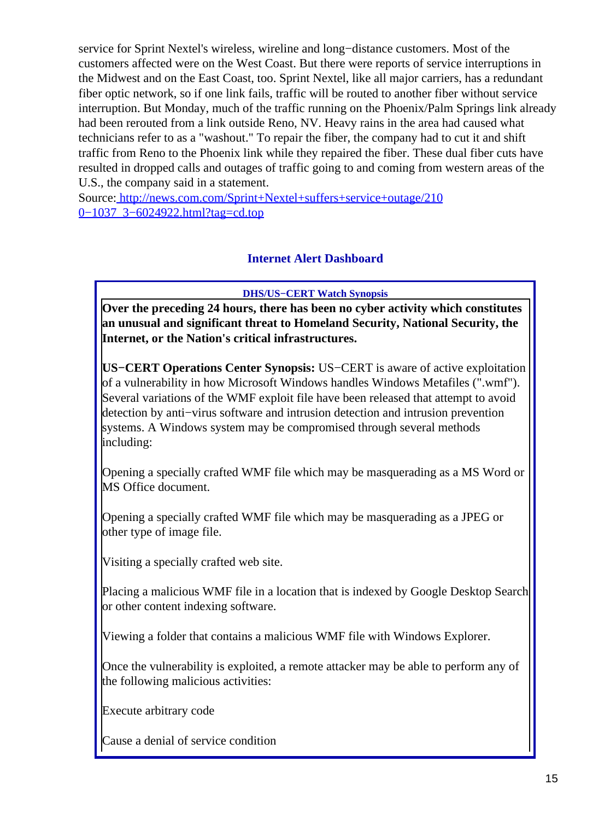service for Sprint Nextel's wireless, wireline and long−distance customers. Most of the customers affected were on the West Coast. But there were reports of service interruptions in the Midwest and on the East Coast, too. Sprint Nextel, like all major carriers, has a redundant fiber optic network, so if one link fails, traffic will be routed to another fiber without service interruption. But Monday, much of the traffic running on the Phoenix/Palm Springs link already had been rerouted from a link outside Reno, NV. Heavy rains in the area had caused what technicians refer to as a "washout." To repair the fiber, the company had to cut it and shift traffic from Reno to the Phoenix link while they repaired the fiber. These dual fiber cuts have resulted in dropped calls and outages of traffic going to and coming from western areas of the U.S., the company said in a statement.

<span id="page-14-0"></span>Source[: http://news.com.com/Sprint+Nextel+suffers+service+outage/210](http://news.com.com/Sprint+Nextel+suffers+service+outage/2100-1037_3-6024922.html?tag=cd.top) [0−1037\\_3−6024922.html?tag=cd.top](http://news.com.com/Sprint+Nextel+suffers+service+outage/2100-1037_3-6024922.html?tag=cd.top)

### **Internet Alert Dashboard**

**DHS/US−CERT Watch Synopsis**

**Over the preceding 24 hours, there has been no cyber activity which constitutes an unusual and significant threat to Homeland Security, National Security, the Internet, or the Nation's critical infrastructures.**

**US−CERT Operations Center Synopsis:** US−CERT is aware of active exploitation of a vulnerability in how Microsoft Windows handles Windows Metafiles (".wmf"). Several variations of the WMF exploit file have been released that attempt to avoid detection by anti−virus software and intrusion detection and intrusion prevention systems. A Windows system may be compromised through several methods including:

Opening a specially crafted WMF file which may be masquerading as a MS Word or MS Office document.

Opening a specially crafted WMF file which may be masquerading as a JPEG or other type of image file.

Visiting a specially crafted web site.

Placing a malicious WMF file in a location that is indexed by Google Desktop Search or other content indexing software.

Viewing a folder that contains a malicious WMF file with Windows Explorer.

Once the vulnerability is exploited, a remote attacker may be able to perform any of the following malicious activities:

Execute arbitrary code

Cause a denial of service condition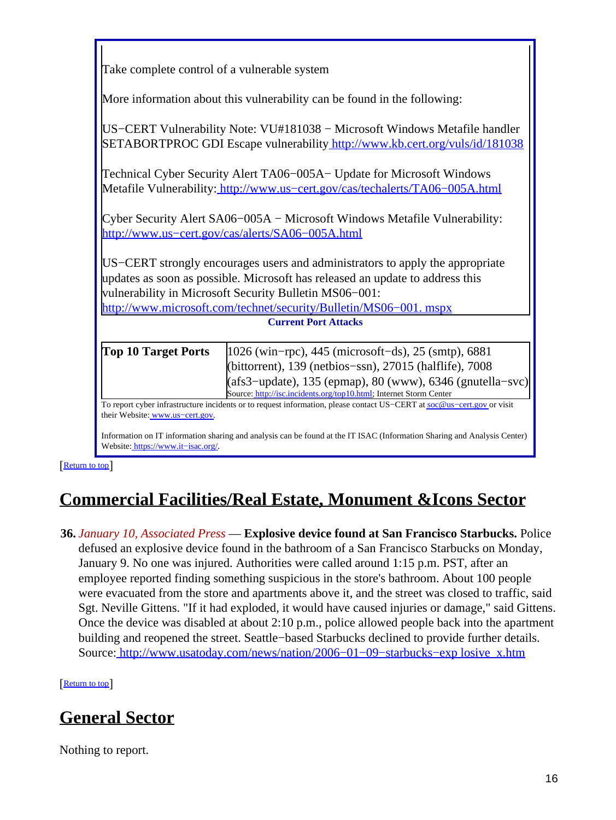| Take complete control of a vulnerable system                                                                                                                                                                                                                                                                                                                |                                                                                                                                                                                |  |
|-------------------------------------------------------------------------------------------------------------------------------------------------------------------------------------------------------------------------------------------------------------------------------------------------------------------------------------------------------------|--------------------------------------------------------------------------------------------------------------------------------------------------------------------------------|--|
| More information about this vulnerability can be found in the following:                                                                                                                                                                                                                                                                                    |                                                                                                                                                                                |  |
| US-CERT Vulnerability Note: VU#181038 – Microsoft Windows Metafile handler<br>SETABORTPROC GDI Escape vulnerability http://www.kb.cert.org/vuls/id/181038                                                                                                                                                                                                   |                                                                                                                                                                                |  |
| Technical Cyber Security Alert TA06–005A– Update for Microsoft Windows<br>Metafile Vulnerability: http://www.us-cert.gov/cas/techalerts/TA06-005A.html                                                                                                                                                                                                      |                                                                                                                                                                                |  |
| Cyber Security Alert SA06–005A – Microsoft Windows Metafile Vulnerability:<br>http://www.us-cert.gov/cas/alerts/SA06-005A.html                                                                                                                                                                                                                              |                                                                                                                                                                                |  |
| US–CERT strongly encourages users and administrators to apply the appropriate                                                                                                                                                                                                                                                                               |                                                                                                                                                                                |  |
| updates as soon as possible. Microsoft has released an update to address this<br>vulnerability in Microsoft Security Bulletin MS06-001:                                                                                                                                                                                                                     |                                                                                                                                                                                |  |
| http://www.microsoft.com/technet/security/Bulletin/MS06-001. mspx                                                                                                                                                                                                                                                                                           |                                                                                                                                                                                |  |
| <b>Current Port Attacks</b>                                                                                                                                                                                                                                                                                                                                 |                                                                                                                                                                                |  |
| <b>Top 10 Target Ports</b>                                                                                                                                                                                                                                                                                                                                  | 1026 (win-rpc), 445 (microsoft-ds), 25 (smtp), 6881<br>(bittorrent), 139 (netbios-ssn), 27015 (halflife), 7008<br>$(afs3$ -update), 135 (epmap), 80 (www), 6346 (gnutella–svc) |  |
| Source: http://isc.incidents.org/top10.html; Internet Storm Center<br>To report cyber infrastructure incidents or to request information, please contact US-CERT at soc@us-cert.gov or visit<br>their Website: www.us-cert.gov.<br>Information on IT information sharing and analysis can be found at the IT ISAC (Information Sharing and Analysis Contar) |                                                                                                                                                                                |  |

on IT information sharing and analy Website: [https://www.it−isac.org/.](https://www.it-isac.org/)

**[Return to top](#page-0-1)** 

# <span id="page-15-1"></span>**Commercial Facilities/Real Estate, Monument &Icons Sector**

<span id="page-15-0"></span>**36.** *January 10, Associated Press* — **Explosive device found at San Francisco Starbucks.** Police defused an explosive device found in the bathroom of a San Francisco Starbucks on Monday, January 9. No one was injured. Authorities were called around 1:15 p.m. PST, after an employee reported finding something suspicious in the store's bathroom. About 100 people were evacuated from the store and apartments above it, and the street was closed to traffic, said Sgt. Neville Gittens. "If it had exploded, it would have caused injuries or damage," said Gittens. Once the device was disabled at about 2:10 p.m., police allowed people back into the apartment building and reopened the street. Seattle−based Starbucks declined to provide further details. Source[: http://www.usatoday.com/news/nation/2006−01−09−starbucks−exp losive\\_x.htm](http://www.usatoday.com/news/nation/2006-01-09-starbucks-explosive_x.htm)

**[Return to top](#page-0-1)** 

# <span id="page-15-2"></span>**General Sector**

Nothing to report.